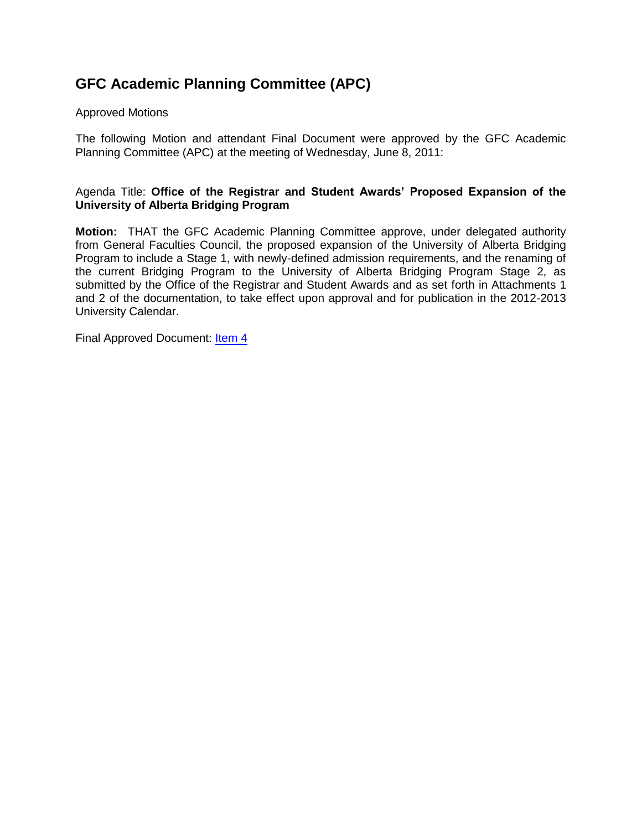# **GFC Academic Planning Committee (APC)**

## Approved Motions

The following Motion and attendant Final Document were approved by the GFC Academic Planning Committee (APC) at the meeting of Wednesday, June 8, 2011:

## Agenda Title: **Office of the Registrar and Student Awards' Proposed Expansion of the University of Alberta Bridging Program**

**Motion:** THAT the GFC Academic Planning Committee approve, under delegated authority from General Faculties Council, the proposed expansion of the University of Alberta Bridging Program to include a Stage 1, with newly-defined admission requirements, and the renaming of the current Bridging Program to the University of Alberta Bridging Program Stage 2, as submitted by the Office of the Registrar and Student Awards and as set forth in Attachments 1 and 2 of the documentation, to take effect upon approval and for publication in the 2012-2013 University Calendar.

Final Approved Document: [Item 4](#page-1-0)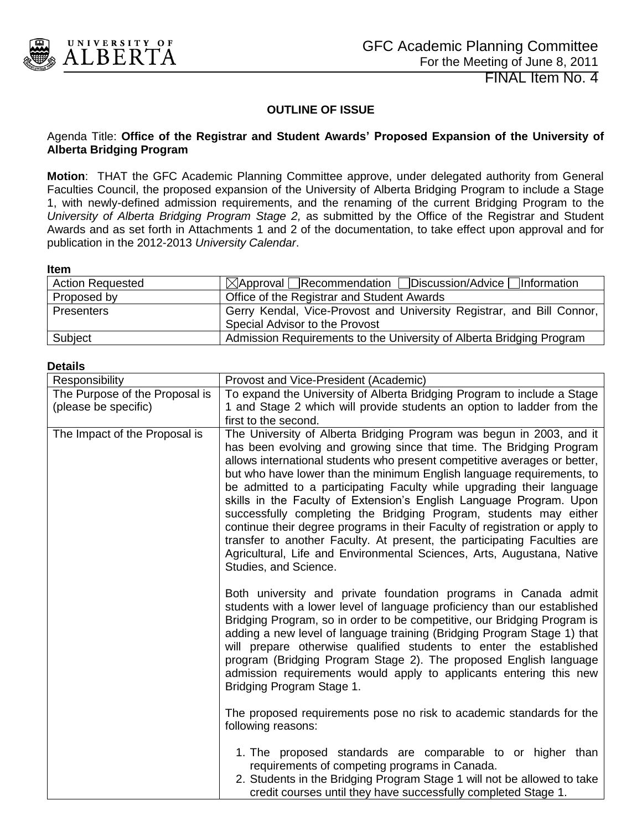<span id="page-1-0"></span>

FINAL Item No. 4

## **OUTLINE OF ISSUE**

#### Agenda Title: **Office of the Registrar and Student Awards' Proposed Expansion of the University of Alberta Bridging Program**

**Motion**: THAT the GFC Academic Planning Committee approve, under delegated authority from General Faculties Council, the proposed expansion of the University of Alberta Bridging Program to include a Stage 1, with newly-defined admission requirements, and the renaming of the current Bridging Program to the *University of Alberta Bridging Program Stage 2,* as submitted by the Office of the Registrar and Student Awards and as set forth in Attachments 1 and 2 of the documentation, to take effect upon approval and for publication in the 2012-2013 *University Calendar*.

#### **Item**

| <b>Action Requested</b> | ⊠Approval Recommendation Discussion/Advice Dinformation               |
|-------------------------|-----------------------------------------------------------------------|
| Proposed by             | Office of the Registrar and Student Awards                            |
| <b>Presenters</b>       | Gerry Kendal, Vice-Provost and University Registrar, and Bill Connor, |
|                         | Special Advisor to the Provost                                        |
| Subject                 | Admission Requirements to the University of Alberta Bridging Program  |

#### **Details**

| Responsibility                 | Provost and Vice-President (Academic)                                                                                                                                                                                                                                                                                                                                                                                                                                                                                                                                                                                                                                                                                                                                                |
|--------------------------------|--------------------------------------------------------------------------------------------------------------------------------------------------------------------------------------------------------------------------------------------------------------------------------------------------------------------------------------------------------------------------------------------------------------------------------------------------------------------------------------------------------------------------------------------------------------------------------------------------------------------------------------------------------------------------------------------------------------------------------------------------------------------------------------|
| The Purpose of the Proposal is | To expand the University of Alberta Bridging Program to include a Stage                                                                                                                                                                                                                                                                                                                                                                                                                                                                                                                                                                                                                                                                                                              |
| (please be specific)           | 1 and Stage 2 which will provide students an option to ladder from the                                                                                                                                                                                                                                                                                                                                                                                                                                                                                                                                                                                                                                                                                                               |
|                                | first to the second.                                                                                                                                                                                                                                                                                                                                                                                                                                                                                                                                                                                                                                                                                                                                                                 |
| The Impact of the Proposal is  | The University of Alberta Bridging Program was begun in 2003, and it<br>has been evolving and growing since that time. The Bridging Program<br>allows international students who present competitive averages or better,<br>but who have lower than the minimum English language requirements, to<br>be admitted to a participating Faculty while upgrading their language<br>skills in the Faculty of Extension's English Language Program. Upon<br>successfully completing the Bridging Program, students may either<br>continue their degree programs in their Faculty of registration or apply to<br>transfer to another Faculty. At present, the participating Faculties are<br>Agricultural, Life and Environmental Sciences, Arts, Augustana, Native<br>Studies, and Science. |
|                                | Both university and private foundation programs in Canada admit<br>students with a lower level of language proficiency than our established<br>Bridging Program, so in order to be competitive, our Bridging Program is<br>adding a new level of language training (Bridging Program Stage 1) that<br>will prepare otherwise qualified students to enter the established<br>program (Bridging Program Stage 2). The proposed English language<br>admission requirements would apply to applicants entering this new<br>Bridging Program Stage 1.                                                                                                                                                                                                                                     |
|                                | The proposed requirements pose no risk to academic standards for the<br>following reasons:                                                                                                                                                                                                                                                                                                                                                                                                                                                                                                                                                                                                                                                                                           |
|                                | 1. The proposed standards are comparable to or higher than<br>requirements of competing programs in Canada.<br>2. Students in the Bridging Program Stage 1 will not be allowed to take<br>credit courses until they have successfully completed Stage 1.                                                                                                                                                                                                                                                                                                                                                                                                                                                                                                                             |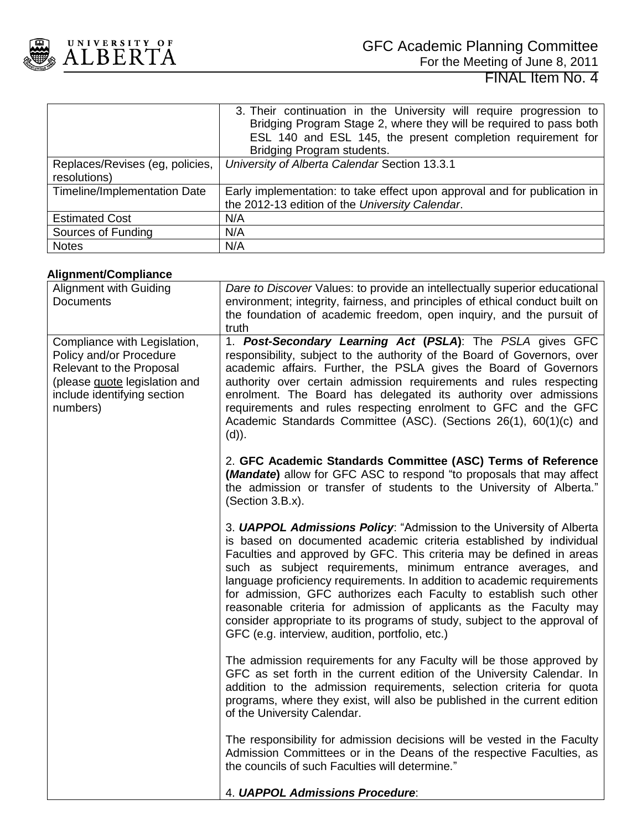

|                                                 | 3. Their continuation in the University will require progression to<br>Bridging Program Stage 2, where they will be required to pass both<br>ESL 140 and ESL 145, the present completion requirement for<br>Bridging Program students. |
|-------------------------------------------------|----------------------------------------------------------------------------------------------------------------------------------------------------------------------------------------------------------------------------------------|
| Replaces/Revises (eg, policies,<br>resolutions) | University of Alberta Calendar Section 13.3.1                                                                                                                                                                                          |
| Timeline/Implementation Date                    | Early implementation: to take effect upon approval and for publication in<br>the 2012-13 edition of the University Calendar.                                                                                                           |
| <b>Estimated Cost</b>                           | N/A                                                                                                                                                                                                                                    |
| Sources of Funding                              | N/A                                                                                                                                                                                                                                    |
| <b>Notes</b>                                    | N/A                                                                                                                                                                                                                                    |

## **Alignment/Compliance**

| Alignment with Guiding                                                                                                                                          | Dare to Discover Values: to provide an intellectually superior educational                                                                                                                                                                                                                                                                                                                                                                                                                                                                                                                                                                       |
|-----------------------------------------------------------------------------------------------------------------------------------------------------------------|--------------------------------------------------------------------------------------------------------------------------------------------------------------------------------------------------------------------------------------------------------------------------------------------------------------------------------------------------------------------------------------------------------------------------------------------------------------------------------------------------------------------------------------------------------------------------------------------------------------------------------------------------|
| Documents                                                                                                                                                       | environment; integrity, fairness, and principles of ethical conduct built on<br>the foundation of academic freedom, open inquiry, and the pursuit of                                                                                                                                                                                                                                                                                                                                                                                                                                                                                             |
|                                                                                                                                                                 | truth                                                                                                                                                                                                                                                                                                                                                                                                                                                                                                                                                                                                                                            |
| Compliance with Legislation,<br>Policy and/or Procedure<br>Relevant to the Proposal<br>(please guote legislation and<br>include identifying section<br>numbers) | 1. Post-Secondary Learning Act (PSLA): The PSLA gives GFC<br>responsibility, subject to the authority of the Board of Governors, over<br>academic affairs. Further, the PSLA gives the Board of Governors<br>authority over certain admission requirements and rules respecting<br>enrolment. The Board has delegated its authority over admissions<br>requirements and rules respecting enrolment to GFC and the GFC<br>Academic Standards Committee (ASC). (Sections 26(1), 60(1)(c) and<br>$(d)$ ).                                                                                                                                           |
|                                                                                                                                                                 | 2. GFC Academic Standards Committee (ASC) Terms of Reference<br>(Mandate) allow for GFC ASC to respond "to proposals that may affect<br>the admission or transfer of students to the University of Alberta."<br>(Section 3.B.x).                                                                                                                                                                                                                                                                                                                                                                                                                 |
|                                                                                                                                                                 | 3. <b>UAPPOL Admissions Policy:</b> "Admission to the University of Alberta<br>is based on documented academic criteria established by individual<br>Faculties and approved by GFC. This criteria may be defined in areas<br>such as subject requirements, minimum entrance averages, and<br>language proficiency requirements. In addition to academic requirements<br>for admission, GFC authorizes each Faculty to establish such other<br>reasonable criteria for admission of applicants as the Faculty may<br>consider appropriate to its programs of study, subject to the approval of<br>GFC (e.g. interview, audition, portfolio, etc.) |
|                                                                                                                                                                 | The admission requirements for any Faculty will be those approved by<br>GFC as set forth in the current edition of the University Calendar. In<br>addition to the admission requirements, selection criteria for quota<br>programs, where they exist, will also be published in the current edition<br>of the University Calendar.                                                                                                                                                                                                                                                                                                               |
|                                                                                                                                                                 | The responsibility for admission decisions will be vested in the Faculty<br>Admission Committees or in the Deans of the respective Faculties, as<br>the councils of such Faculties will determine."                                                                                                                                                                                                                                                                                                                                                                                                                                              |
|                                                                                                                                                                 | 4. UAPPOL Admissions Procedure:                                                                                                                                                                                                                                                                                                                                                                                                                                                                                                                                                                                                                  |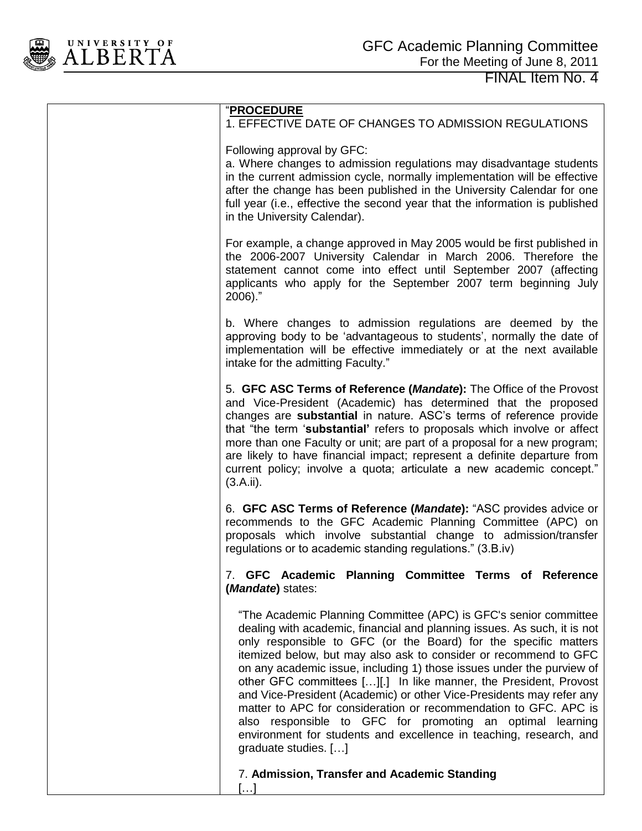

| <u>"PROCEDURE</u><br>1. EFFECTIVE DATE OF CHANGES TO ADMISSION REGULATIONS<br>Following approval by GFC:<br>a. Where changes to admission regulations may disadvantage students<br>in the current admission cycle, normally implementation will be effective<br>after the change has been published in the University Calendar for one<br>full year (i.e., effective the second year that the information is published<br>in the University Calendar).<br>For example, a change approved in May 2005 would be first published in<br>the 2006-2007 University Calendar in March 2006. Therefore the<br>statement cannot come into effect until September 2007 (affecting<br>applicants who apply for the September 2007 term beginning July<br>$2006$ )."<br>b. Where changes to admission regulations are deemed by the<br>approving body to be 'advantageous to students', normally the date of<br>implementation will be effective immediately or at the next available<br>intake for the admitting Faculty."<br>5. GFC ASC Terms of Reference (Mandate): The Office of the Provost<br>and Vice-President (Academic) has determined that the proposed<br>changes are substantial in nature. ASC's terms of reference provide<br>that "the term 'substantial' refers to proposals which involve or affect<br>more than one Faculty or unit; are part of a proposal for a new program;<br>are likely to have financial impact; represent a definite departure from<br>current policy; involve a quota; articulate a new academic concept."<br>(3.A.ii).<br>6. GFC ASC Terms of Reference (Mandate): "ASC provides advice or<br>recommends to the GFC Academic Planning Committee (APC) on<br>proposals which involve substantial change to admission/transfer<br>regulations or to academic standing regulations." (3.B.iv)<br>7. GFC Academic Planning Committee Terms of Reference<br>( <i>Mandate</i> ) states:<br>"The Academic Planning Committee (APC) is GFC's senior committee<br>dealing with academic, financial and planning issues. As such, it is not<br>only responsible to GFC (or the Board) for the specific matters<br>itemized below, but may also ask to consider or recommend to GFC<br>on any academic issue, including 1) those issues under the purview of<br>other GFC committees [][.] In like manner, the President, Provost<br>and Vice-President (Academic) or other Vice-Presidents may refer any<br>matter to APC for consideration or recommendation to GFC. APC is<br>also responsible to GFC for promoting an optimal learning<br>environment for students and excellence in teaching, research, and<br>graduate studies. []<br>7. Admission, Transfer and Academic Standing |           |
|----------------------------------------------------------------------------------------------------------------------------------------------------------------------------------------------------------------------------------------------------------------------------------------------------------------------------------------------------------------------------------------------------------------------------------------------------------------------------------------------------------------------------------------------------------------------------------------------------------------------------------------------------------------------------------------------------------------------------------------------------------------------------------------------------------------------------------------------------------------------------------------------------------------------------------------------------------------------------------------------------------------------------------------------------------------------------------------------------------------------------------------------------------------------------------------------------------------------------------------------------------------------------------------------------------------------------------------------------------------------------------------------------------------------------------------------------------------------------------------------------------------------------------------------------------------------------------------------------------------------------------------------------------------------------------------------------------------------------------------------------------------------------------------------------------------------------------------------------------------------------------------------------------------------------------------------------------------------------------------------------------------------------------------------------------------------------------------------------------------------------------------------------------------------------------------------------------------------------------------------------------------------------------------------------------------------------------------------------------------------------------------------------------------------------------------------------------------------------------------------------------------------------------------------------------------------------------------------------------------------------------------------------------------------------------------------------------------|-----------|
|                                                                                                                                                                                                                                                                                                                                                                                                                                                                                                                                                                                                                                                                                                                                                                                                                                                                                                                                                                                                                                                                                                                                                                                                                                                                                                                                                                                                                                                                                                                                                                                                                                                                                                                                                                                                                                                                                                                                                                                                                                                                                                                                                                                                                                                                                                                                                                                                                                                                                                                                                                                                                                                                                                                |           |
|                                                                                                                                                                                                                                                                                                                                                                                                                                                                                                                                                                                                                                                                                                                                                                                                                                                                                                                                                                                                                                                                                                                                                                                                                                                                                                                                                                                                                                                                                                                                                                                                                                                                                                                                                                                                                                                                                                                                                                                                                                                                                                                                                                                                                                                                                                                                                                                                                                                                                                                                                                                                                                                                                                                |           |
|                                                                                                                                                                                                                                                                                                                                                                                                                                                                                                                                                                                                                                                                                                                                                                                                                                                                                                                                                                                                                                                                                                                                                                                                                                                                                                                                                                                                                                                                                                                                                                                                                                                                                                                                                                                                                                                                                                                                                                                                                                                                                                                                                                                                                                                                                                                                                                                                                                                                                                                                                                                                                                                                                                                |           |
|                                                                                                                                                                                                                                                                                                                                                                                                                                                                                                                                                                                                                                                                                                                                                                                                                                                                                                                                                                                                                                                                                                                                                                                                                                                                                                                                                                                                                                                                                                                                                                                                                                                                                                                                                                                                                                                                                                                                                                                                                                                                                                                                                                                                                                                                                                                                                                                                                                                                                                                                                                                                                                                                                                                |           |
|                                                                                                                                                                                                                                                                                                                                                                                                                                                                                                                                                                                                                                                                                                                                                                                                                                                                                                                                                                                                                                                                                                                                                                                                                                                                                                                                                                                                                                                                                                                                                                                                                                                                                                                                                                                                                                                                                                                                                                                                                                                                                                                                                                                                                                                                                                                                                                                                                                                                                                                                                                                                                                                                                                                |           |
|                                                                                                                                                                                                                                                                                                                                                                                                                                                                                                                                                                                                                                                                                                                                                                                                                                                                                                                                                                                                                                                                                                                                                                                                                                                                                                                                                                                                                                                                                                                                                                                                                                                                                                                                                                                                                                                                                                                                                                                                                                                                                                                                                                                                                                                                                                                                                                                                                                                                                                                                                                                                                                                                                                                |           |
|                                                                                                                                                                                                                                                                                                                                                                                                                                                                                                                                                                                                                                                                                                                                                                                                                                                                                                                                                                                                                                                                                                                                                                                                                                                                                                                                                                                                                                                                                                                                                                                                                                                                                                                                                                                                                                                                                                                                                                                                                                                                                                                                                                                                                                                                                                                                                                                                                                                                                                                                                                                                                                                                                                                |           |
|                                                                                                                                                                                                                                                                                                                                                                                                                                                                                                                                                                                                                                                                                                                                                                                                                                                                                                                                                                                                                                                                                                                                                                                                                                                                                                                                                                                                                                                                                                                                                                                                                                                                                                                                                                                                                                                                                                                                                                                                                                                                                                                                                                                                                                                                                                                                                                                                                                                                                                                                                                                                                                                                                                                |           |
|                                                                                                                                                                                                                                                                                                                                                                                                                                                                                                                                                                                                                                                                                                                                                                                                                                                                                                                                                                                                                                                                                                                                                                                                                                                                                                                                                                                                                                                                                                                                                                                                                                                                                                                                                                                                                                                                                                                                                                                                                                                                                                                                                                                                                                                                                                                                                                                                                                                                                                                                                                                                                                                                                                                | $[\dots]$ |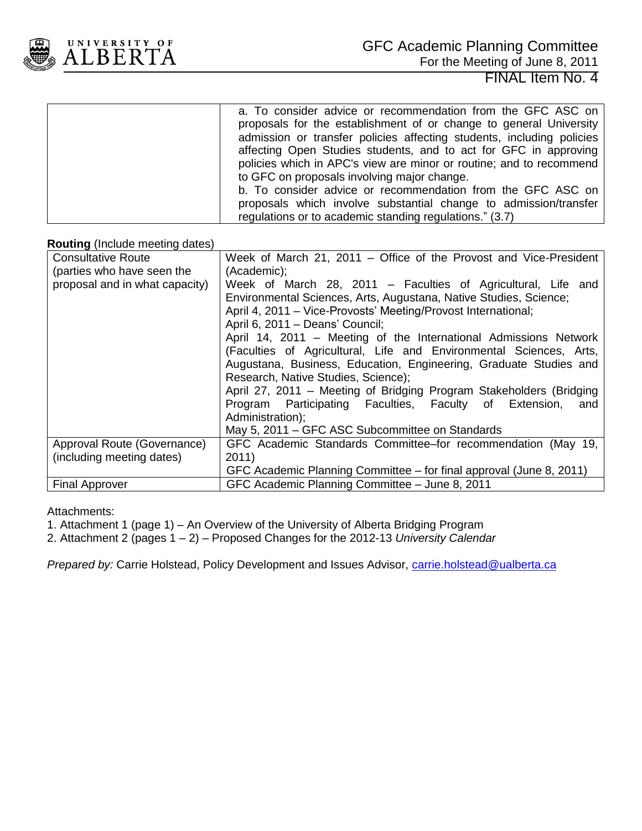

| a. To consider advice or recommendation from the GFC ASC on<br>proposals for the establishment of or change to general University<br>admission or transfer policies affecting students, including policies<br>affecting Open Studies students, and to act for GFC in approving<br>policies which in APC's view are minor or routine; and to recommend<br>to GFC on proposals involving major change. |
|------------------------------------------------------------------------------------------------------------------------------------------------------------------------------------------------------------------------------------------------------------------------------------------------------------------------------------------------------------------------------------------------------|
| b. To consider advice or recommendation from the GFC ASC on<br>proposals which involve substantial change to admission/transfer<br>regulations or to academic standing regulations." (3.7)                                                                                                                                                                                                           |

#### **Routing** (Include meeting dates)

| <b>Consultative Route</b>      | Week of March 21, 2011 – Office of the Provost and Vice-President   |  |  |
|--------------------------------|---------------------------------------------------------------------|--|--|
| (parties who have seen the     | (Academic);                                                         |  |  |
| proposal and in what capacity) | Week of March 28, 2011 – Faculties of Agricultural, Life and        |  |  |
|                                | Environmental Sciences, Arts, Augustana, Native Studies, Science;   |  |  |
|                                | April 4, 2011 – Vice-Provosts' Meeting/Provost International;       |  |  |
|                                | April 6, 2011 - Deans' Council;                                     |  |  |
|                                | April 14, 2011 – Meeting of the International Admissions Network    |  |  |
|                                | (Faculties of Agricultural, Life and Environmental Sciences, Arts,  |  |  |
|                                | Augustana, Business, Education, Engineering, Graduate Studies and   |  |  |
|                                | Research, Native Studies, Science);                                 |  |  |
|                                | April 27, 2011 – Meeting of Bridging Program Stakeholders (Bridging |  |  |
|                                | Program Participating Faculties, Faculty of Extension, and          |  |  |
|                                | Administration);                                                    |  |  |
|                                | May 5, 2011 – GFC ASC Subcommittee on Standards                     |  |  |
| Approval Route (Governance)    | GFC Academic Standards Committee–for recommendation (May 19,        |  |  |
| (including meeting dates)      | 2011)                                                               |  |  |
|                                | GFC Academic Planning Committee – for final approval (June 8, 2011) |  |  |
| <b>Final Approver</b>          | GFC Academic Planning Committee - June 8, 2011                      |  |  |

#### Attachments:

- 1. Attachment 1 (page 1) An Overview of the University of Alberta Bridging Program
- 2. Attachment 2 (pages 1 2) Proposed Changes for the 2012-13 *University Calendar*

*Prepared by:* Carrie Holstead, Policy Development and Issues Advisor, *carrie.holstead@ualberta.ca*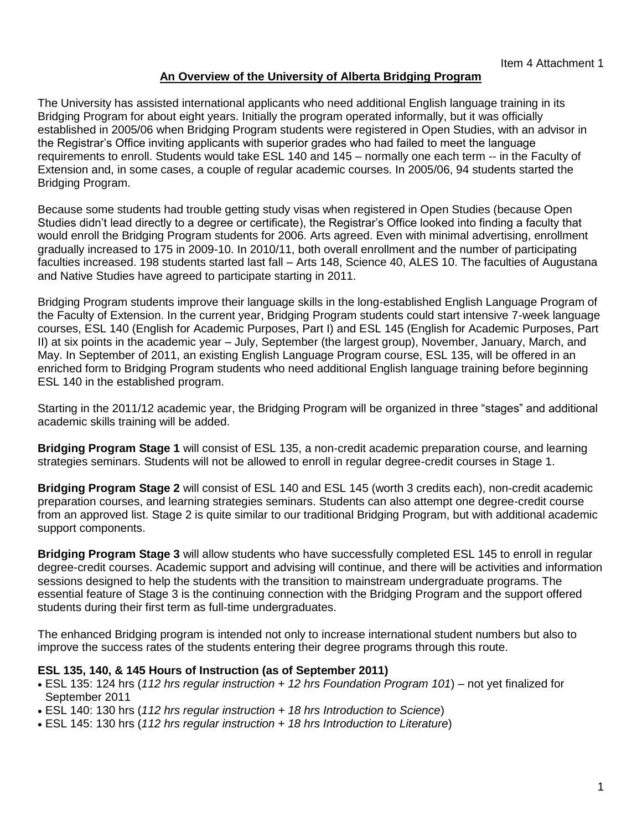## **An Overview of the University of Alberta Bridging Program**

The University has assisted international applicants who need additional English language training in its Bridging Program for about eight years. Initially the program operated informally, but it was officially established in 2005/06 when Bridging Program students were registered in Open Studies, with an advisor in the Registrar"s Office inviting applicants with superior grades who had failed to meet the language requirements to enroll. Students would take ESL 140 and 145 – normally one each term -- in the Faculty of Extension and, in some cases, a couple of regular academic courses. In 2005/06, 94 students started the Bridging Program.

Because some students had trouble getting study visas when registered in Open Studies (because Open Studies didn"t lead directly to a degree or certificate), the Registrar"s Office looked into finding a faculty that would enroll the Bridging Program students for 2006. Arts agreed. Even with minimal advertising, enrollment gradually increased to 175 in 2009-10. In 2010/11, both overall enrollment and the number of participating faculties increased. 198 students started last fall – Arts 148, Science 40, ALES 10. The faculties of Augustana and Native Studies have agreed to participate starting in 2011.

Bridging Program students improve their language skills in the long-established English Language Program of the Faculty of Extension. In the current year, Bridging Program students could start intensive 7-week language courses, ESL 140 (English for Academic Purposes, Part I) and ESL 145 (English for Academic Purposes, Part II) at six points in the academic year – July, September (the largest group), November, January, March, and May. In September of 2011, an existing English Language Program course, ESL 135, will be offered in an enriched form to Bridging Program students who need additional English language training before beginning ESL 140 in the established program.

Starting in the 2011/12 academic year, the Bridging Program will be organized in three "stages" and additional academic skills training will be added.

**Bridging Program Stage 1** will consist of ESL 135, a non-credit academic preparation course, and learning strategies seminars. Students will not be allowed to enroll in regular degree-credit courses in Stage 1.

**Bridging Program Stage 2** will consist of ESL 140 and ESL 145 (worth 3 credits each), non-credit academic preparation courses, and learning strategies seminars. Students can also attempt one degree-credit course from an approved list. Stage 2 is quite similar to our traditional Bridging Program, but with additional academic support components.

**Bridging Program Stage 3** will allow students who have successfully completed ESL 145 to enroll in regular degree-credit courses. Academic support and advising will continue, and there will be activities and information sessions designed to help the students with the transition to mainstream undergraduate programs. The essential feature of Stage 3 is the continuing connection with the Bridging Program and the support offered students during their first term as full-time undergraduates.

The enhanced Bridging program is intended not only to increase international student numbers but also to improve the success rates of the students entering their degree programs through this route.

## **ESL 135, 140, & 145 Hours of Instruction (as of September 2011)**

- ESL 135: 124 hrs (*112 hrs regular instruction + 12 hrs Foundation Program 101*) not yet finalized for September 2011
- ESL 140: 130 hrs (*112 hrs regular instruction + 18 hrs Introduction to Science*)
- ESL 145: 130 hrs (*112 hrs regular instruction + 18 hrs Introduction to Literature*)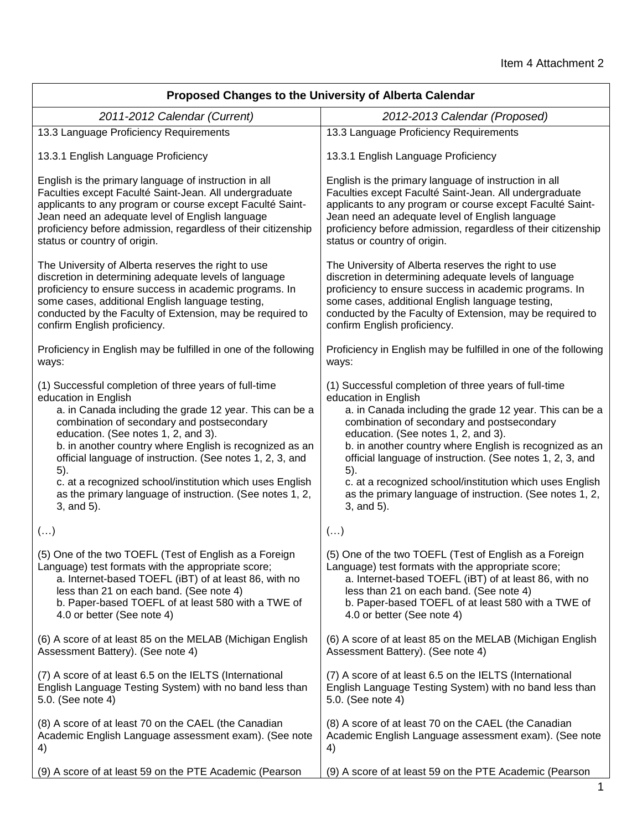| Proposed Changes to the University of Alberta Calendar          |                                                                 |  |
|-----------------------------------------------------------------|-----------------------------------------------------------------|--|
| 2011-2012 Calendar (Current)                                    | 2012-2013 Calendar (Proposed)                                   |  |
| 13.3 Language Proficiency Requirements                          | 13.3 Language Proficiency Requirements                          |  |
| 13.3.1 English Language Proficiency                             | 13.3.1 English Language Proficiency                             |  |
| English is the primary language of instruction in all           | English is the primary language of instruction in all           |  |
| Faculties except Faculté Saint-Jean. All undergraduate          | Faculties except Faculté Saint-Jean. All undergraduate          |  |
| applicants to any program or course except Faculté Saint-       | applicants to any program or course except Faculté Saint-       |  |
| Jean need an adequate level of English language                 | Jean need an adequate level of English language                 |  |
| proficiency before admission, regardless of their citizenship   | proficiency before admission, regardless of their citizenship   |  |
| status or country of origin.                                    | status or country of origin.                                    |  |
| The University of Alberta reserves the right to use             | The University of Alberta reserves the right to use             |  |
| discretion in determining adequate levels of language           | discretion in determining adequate levels of language           |  |
| proficiency to ensure success in academic programs. In          | proficiency to ensure success in academic programs. In          |  |
| some cases, additional English language testing,                | some cases, additional English language testing,                |  |
| conducted by the Faculty of Extension, may be required to       | conducted by the Faculty of Extension, may be required to       |  |
| confirm English proficiency.                                    | confirm English proficiency.                                    |  |
| Proficiency in English may be fulfilled in one of the following | Proficiency in English may be fulfilled in one of the following |  |
| ways:                                                           | ways:                                                           |  |
| (1) Successful completion of three years of full-time           | (1) Successful completion of three years of full-time           |  |
| education in English                                            | education in English                                            |  |
| a. in Canada including the grade 12 year. This can be a         | a. in Canada including the grade 12 year. This can be a         |  |
| combination of secondary and postsecondary                      | combination of secondary and postsecondary                      |  |
| education. (See notes 1, 2, and 3).                             | education. (See notes 1, 2, and 3).                             |  |
| b. in another country where English is recognized as an         | b. in another country where English is recognized as an         |  |
| official language of instruction. (See notes 1, 2, 3, and       | official language of instruction. (See notes 1, 2, 3, and       |  |
| 5).                                                             | 5).                                                             |  |
| c. at a recognized school/institution which uses English        | c. at a recognized school/institution which uses English        |  |
| as the primary language of instruction. (See notes 1, 2,        | as the primary language of instruction. (See notes 1, 2,        |  |
| 3, and 5).                                                      | 3, and 5).                                                      |  |
| $(\ldots)$                                                      | $(\ldots)$                                                      |  |
| (5) One of the two TOEFL (Test of English as a Foreign          | (5) One of the two TOEFL (Test of English as a Foreign          |  |
| Language) test formats with the appropriate score;              | Language) test formats with the appropriate score;              |  |
| a. Internet-based TOEFL (iBT) of at least 86, with no           | a. Internet-based TOEFL (iBT) of at least 86, with no           |  |
| less than 21 on each band. (See note 4)                         | less than 21 on each band. (See note 4)                         |  |
| b. Paper-based TOEFL of at least 580 with a TWE of              | b. Paper-based TOEFL of at least 580 with a TWE of              |  |
| 4.0 or better (See note 4)                                      | 4.0 or better (See note 4)                                      |  |
| (6) A score of at least 85 on the MELAB (Michigan English       | (6) A score of at least 85 on the MELAB (Michigan English       |  |
| Assessment Battery). (See note 4)                               | Assessment Battery). (See note 4)                               |  |
| (7) A score of at least 6.5 on the IELTS (International         | (7) A score of at least 6.5 on the IELTS (International         |  |
| English Language Testing System) with no band less than         | English Language Testing System) with no band less than         |  |
| 5.0. (See note 4)                                               | 5.0. (See note 4)                                               |  |
| (8) A score of at least 70 on the CAEL (the Canadian            | (8) A score of at least 70 on the CAEL (the Canadian            |  |
| Academic English Language assessment exam). (See note           | Academic English Language assessment exam). (See note           |  |
| 4)                                                              | 4)                                                              |  |
| (9) A score of at least 59 on the PTE Academic (Pearson         | (9) A score of at least 59 on the PTE Academic (Pearson         |  |